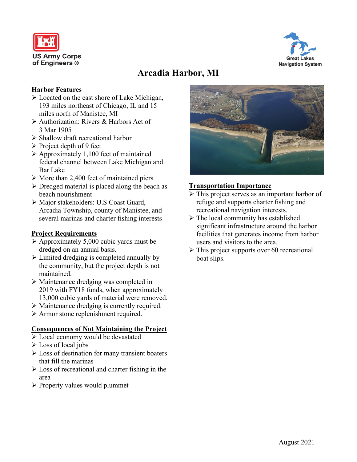



# **Arcadia Harbor, MI**

## **Harbor Features**

- Located on the east shore of Lake Michigan, 193 miles northeast of Chicago, IL and 15 miles north of Manistee, MI
- Authorization: Rivers & Harbors Act of 3 Mar 1905
- $\triangleright$  Shallow draft recreational harbor
- $\triangleright$  Project depth of 9 feet
- Approximately 1,100 feet of maintained federal channel between Lake Michigan and Bar Lake
- $\triangleright$  More than 2,400 feet of maintained piers
- $\triangleright$  Dredged material is placed along the beach as beach nourishment
- Major stakeholders: U.S Coast Guard, Arcadia Township, county of Manistee, and several marinas and charter fishing interests

## **Project Requirements**

- $\triangleright$  Approximately 5,000 cubic yards must be dredged on an annual basis.
- $\triangleright$  Limited dredging is completed annually by the community, but the project depth is not maintained.
- Maintenance dredging was completed in 2019 with FY18 funds, when approximately 13,000 cubic yards of material were removed.
- Maintenance dredging is currently required.
- Armor stone replenishment required.

#### **Consequences of Not Maintaining the Project**

- Local economy would be devastated
- Loss of local jobs
- Loss of destination for many transient boaters that fill the marinas
- $\triangleright$  Loss of recreational and charter fishing in the area
- $\triangleright$  Property values would plummet



# **Transportation Importance**

- $\triangleright$  This project serves as an important harbor of refuge and supports charter fishing and recreational navigation interests.
- $\triangleright$  The local community has established significant infrastructure around the harbor facilities that generates income from harbor users and visitors to the area.
- $\triangleright$  This project supports over 60 recreational boat slips.